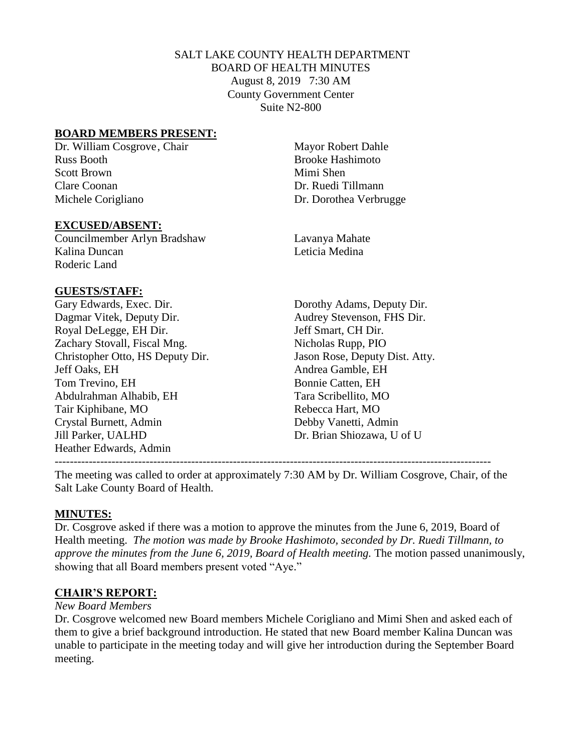## SALT LAKE COUNTY HEALTH DEPARTMENT BOARD OF HEALTH MINUTES August 8, 2019 7:30 AM County Government Center Suite N2-800

### **BOARD MEMBERS PRESENT:**

Dr. William Cosgrove, Chair Mayor Robert Dahle Russ Booth **Brooke** Hashimoto Scott Brown Mimi Shen Clare Coonan Dr. Ruedi Tillmann Michele Corigliano Dr. Dorothea Verbrugge

#### **EXCUSED/ABSENT:**

Councilmember Arlyn Bradshaw Lavanya Mahate Kalina Duncan **Leticia Medina** Roderic Land

#### **GUESTS/STAFF:**

Gary Edwards, Exec. Dir. Dorothy Adams, Deputy Dir. Dagmar Vitek, Deputy Dir. Audrey Stevenson, FHS Dir. Royal DeLegge, EH Dir. Jeff Smart, CH Dir. Zachary Stovall, Fiscal Mng. Nicholas Rupp, PIO Christopher Otto, HS Deputy Dir. Jason Rose, Deputy Dist. Atty. Jeff Oaks, EH Andrea Gamble, EH Tom Trevino, EH Bonnie Catten, EH Abdulrahman Alhabib, EH Tara Scribellito, MO Tair Kiphibane, MO Rebecca Hart, MO Crystal Burnett, Admin Debby Vanetti, Admin Jill Parker, UALHD Dr. Brian Shiozawa, U of U Heather Edwards, Admin

-------------------------------------------------------------------------------------------------------------------

The meeting was called to order at approximately 7:30 AM by Dr. William Cosgrove, Chair, of the Salt Lake County Board of Health.

#### **MINUTES:**

Dr. Cosgrove asked if there was a motion to approve the minutes from the June 6, 2019, Board of Health meeting. *The motion was made by Brooke Hashimoto, seconded by Dr. Ruedi Tillmann, to approve the minutes from the June 6, 2019, Board of Health meeting.* The motion passed unanimously, showing that all Board members present voted "Aye."

#### **CHAIR'S REPORT:**

#### *New Board Members*

Dr. Cosgrove welcomed new Board members Michele Corigliano and Mimi Shen and asked each of them to give a brief background introduction. He stated that new Board member Kalina Duncan was unable to participate in the meeting today and will give her introduction during the September Board meeting.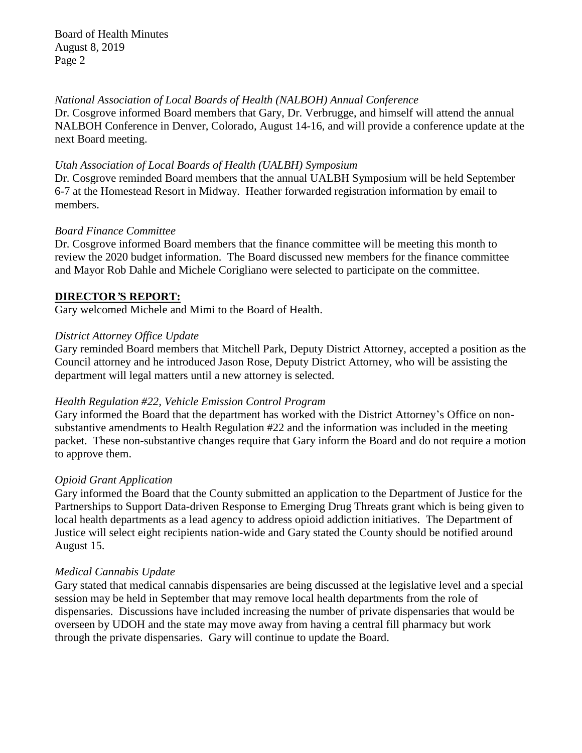*National Association of Local Boards of Health (NALBOH) Annual Conference*

Dr. Cosgrove informed Board members that Gary, Dr. Verbrugge, and himself will attend the annual NALBOH Conference in Denver, Colorado, August 14-16, and will provide a conference update at the next Board meeting.

## *Utah Association of Local Boards of Health (UALBH) Symposium*

Dr. Cosgrove reminded Board members that the annual UALBH Symposium will be held September 6-7 at the Homestead Resort in Midway. Heather forwarded registration information by email to members.

## *Board Finance Committee*

Dr. Cosgrove informed Board members that the finance committee will be meeting this month to review the 2020 budget information. The Board discussed new members for the finance committee and Mayor Rob Dahle and Michele Corigliano were selected to participate on the committee.

## **DIRECTOR***'***S REPORT:**

Gary welcomed Michele and Mimi to the Board of Health.

## *District Attorney Office Update*

Gary reminded Board members that Mitchell Park, Deputy District Attorney, accepted a position as the Council attorney and he introduced Jason Rose, Deputy District Attorney, who will be assisting the department will legal matters until a new attorney is selected.

## *Health Regulation #22, Vehicle Emission Control Program*

Gary informed the Board that the department has worked with the District Attorney's Office on nonsubstantive amendments to Health Regulation #22 and the information was included in the meeting packet. These non-substantive changes require that Gary inform the Board and do not require a motion to approve them.

#### *Opioid Grant Application*

Gary informed the Board that the County submitted an application to the Department of Justice for the Partnerships to Support Data-driven Response to Emerging Drug Threats grant which is being given to local health departments as a lead agency to address opioid addiction initiatives. The Department of Justice will select eight recipients nation-wide and Gary stated the County should be notified around August 15.

## *Medical Cannabis Update*

Gary stated that medical cannabis dispensaries are being discussed at the legislative level and a special session may be held in September that may remove local health departments from the role of dispensaries. Discussions have included increasing the number of private dispensaries that would be overseen by UDOH and the state may move away from having a central fill pharmacy but work through the private dispensaries. Gary will continue to update the Board.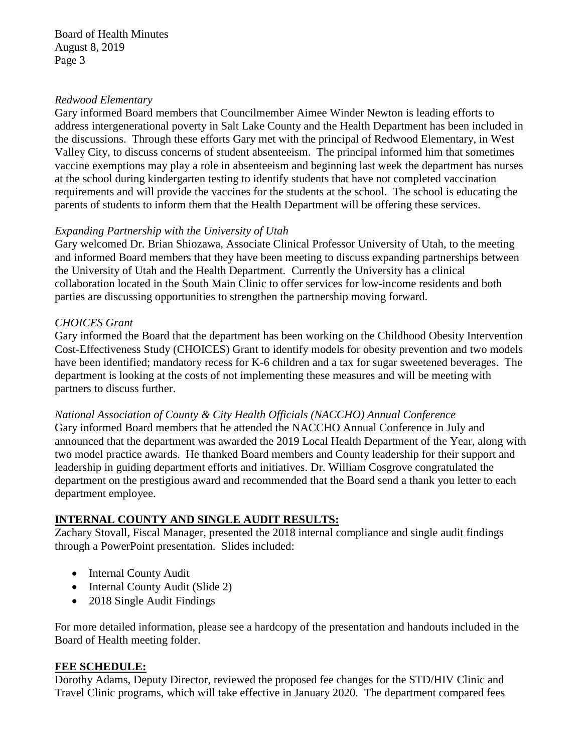### *Redwood Elementary*

Gary informed Board members that Councilmember Aimee Winder Newton is leading efforts to address intergenerational poverty in Salt Lake County and the Health Department has been included in the discussions. Through these efforts Gary met with the principal of Redwood Elementary, in West Valley City, to discuss concerns of student absenteeism. The principal informed him that sometimes vaccine exemptions may play a role in absenteeism and beginning last week the department has nurses at the school during kindergarten testing to identify students that have not completed vaccination requirements and will provide the vaccines for the students at the school. The school is educating the parents of students to inform them that the Health Department will be offering these services.

# *Expanding Partnership with the University of Utah*

Gary welcomed Dr. Brian Shiozawa, Associate Clinical Professor University of Utah, to the meeting and informed Board members that they have been meeting to discuss expanding partnerships between the University of Utah and the Health Department. Currently the University has a clinical collaboration located in the South Main Clinic to offer services for low-income residents and both parties are discussing opportunities to strengthen the partnership moving forward.

## *CHOICES Grant*

Gary informed the Board that the department has been working on the Childhood Obesity Intervention Cost-Effectiveness Study (CHOICES) Grant to identify models for obesity prevention and two models have been identified; mandatory recess for K-6 children and a tax for sugar sweetened beverages. The department is looking at the costs of not implementing these measures and will be meeting with partners to discuss further.

*National Association of County & City Health Officials (NACCHO) Annual Conference* Gary informed Board members that he attended the NACCHO Annual Conference in July and announced that the department was awarded the 2019 Local Health Department of the Year, along with two model practice awards. He thanked Board members and County leadership for their support and leadership in guiding department efforts and initiatives. Dr. William Cosgrove congratulated the department on the prestigious award and recommended that the Board send a thank you letter to each department employee.

# **INTERNAL COUNTY AND SINGLE AUDIT RESULTS:**

Zachary Stovall, Fiscal Manager, presented the 2018 internal compliance and single audit findings through a PowerPoint presentation. Slides included:

- Internal County Audit
- Internal County Audit (Slide 2)
- 2018 Single Audit Findings

For more detailed information, please see a hardcopy of the presentation and handouts included in the Board of Health meeting folder.

## **FEE SCHEDULE:**

Dorothy Adams, Deputy Director, reviewed the proposed fee changes for the STD/HIV Clinic and Travel Clinic programs, which will take effective in January 2020. The department compared fees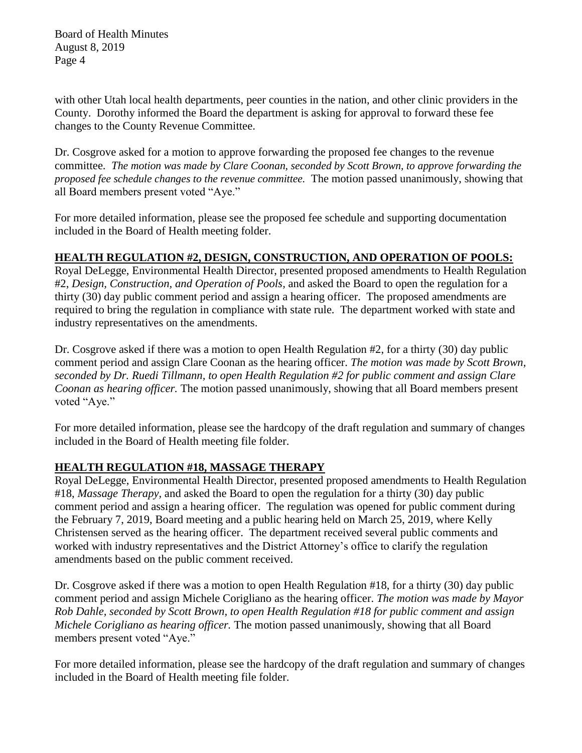with other Utah local health departments, peer counties in the nation, and other clinic providers in the County. Dorothy informed the Board the department is asking for approval to forward these fee changes to the County Revenue Committee.

Dr. Cosgrove asked for a motion to approve forwarding the proposed fee changes to the revenue committee. *The motion was made by Clare Coonan, seconded by Scott Brown, to approve forwarding the proposed fee schedule changes to the revenue committee.* The motion passed unanimously, showing that all Board members present voted "Aye."

For more detailed information, please see the proposed fee schedule and supporting documentation included in the Board of Health meeting folder.

# **HEALTH REGULATION #2, DESIGN, CONSTRUCTION, AND OPERATION OF POOLS:**

Royal DeLegge, Environmental Health Director, presented proposed amendments to Health Regulation #2, *Design, Construction, and Operation of Pools,* and asked the Board to open the regulation for a thirty (30) day public comment period and assign a hearing officer. The proposed amendments are required to bring the regulation in compliance with state rule. The department worked with state and industry representatives on the amendments.

Dr. Cosgrove asked if there was a motion to open Health Regulation #2, for a thirty (30) day public comment period and assign Clare Coonan as the hearing officer. *The motion was made by Scott Brown, seconded by Dr. Ruedi Tillmann, to open Health Regulation #2 for public comment and assign Clare Coonan as hearing officer.* The motion passed unanimously, showing that all Board members present voted "Aye."

For more detailed information, please see the hardcopy of the draft regulation and summary of changes included in the Board of Health meeting file folder.

## **HEALTH REGULATION #18, MASSAGE THERAPY**

Royal DeLegge, Environmental Health Director, presented proposed amendments to Health Regulation #18, *Massage Therapy,* and asked the Board to open the regulation for a thirty (30) day public comment period and assign a hearing officer. The regulation was opened for public comment during the February 7, 2019, Board meeting and a public hearing held on March 25, 2019, where Kelly Christensen served as the hearing officer. The department received several public comments and worked with industry representatives and the District Attorney's office to clarify the regulation amendments based on the public comment received.

Dr. Cosgrove asked if there was a motion to open Health Regulation #18, for a thirty (30) day public comment period and assign Michele Corigliano as the hearing officer. *The motion was made by Mayor Rob Dahle, seconded by Scott Brown, to open Health Regulation #18 for public comment and assign Michele Corigliano as hearing officer.* The motion passed unanimously, showing that all Board members present voted "Aye."

For more detailed information, please see the hardcopy of the draft regulation and summary of changes included in the Board of Health meeting file folder.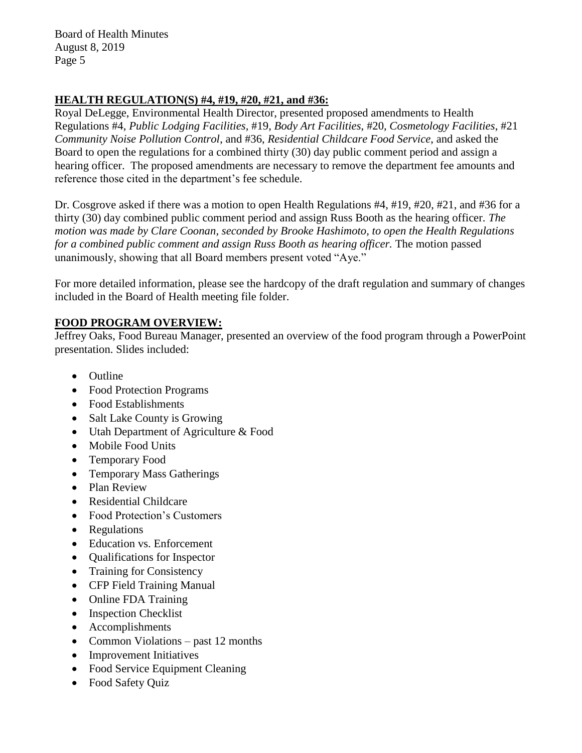## **HEALTH REGULATION(S) #4, #19, #20, #21, and #36:**

Royal DeLegge, Environmental Health Director, presented proposed amendments to Health Regulations #4, *Public Lodging Facilities,* #19, *Body Art Facilities*, #20, *Cosmetology Facilities*, #21 *Community Noise Pollution Control*, and #36, *Residential Childcare Food Service*, and asked the Board to open the regulations for a combined thirty (30) day public comment period and assign a hearing officer. The proposed amendments are necessary to remove the department fee amounts and reference those cited in the department's fee schedule.

Dr. Cosgrove asked if there was a motion to open Health Regulations #4, #19, #20, #21, and #36 for a thirty (30) day combined public comment period and assign Russ Booth as the hearing officer. *The motion was made by Clare Coonan, seconded by Brooke Hashimoto, to open the Health Regulations for a combined public comment and assign Russ Booth as hearing officer.* The motion passed unanimously, showing that all Board members present voted "Aye."

For more detailed information, please see the hardcopy of the draft regulation and summary of changes included in the Board of Health meeting file folder.

# **FOOD PROGRAM OVERVIEW:**

Jeffrey Oaks, Food Bureau Manager, presented an overview of the food program through a PowerPoint presentation. Slides included:

- Outline
- Food Protection Programs
- Food Establishments
- Salt Lake County is Growing
- Utah Department of Agriculture & Food
- Mobile Food Units
- Temporary Food
- Temporary Mass Gatherings
- Plan Review
- Residential Childcare
- Food Protection's Customers
- Regulations
- Education vs. Enforcement
- Qualifications for Inspector
- Training for Consistency
- CFP Field Training Manual
- Online FDA Training
- Inspection Checklist
- Accomplishments
- Common Violations past 12 months
- Improvement Initiatives
- Food Service Equipment Cleaning
- Food Safety Quiz